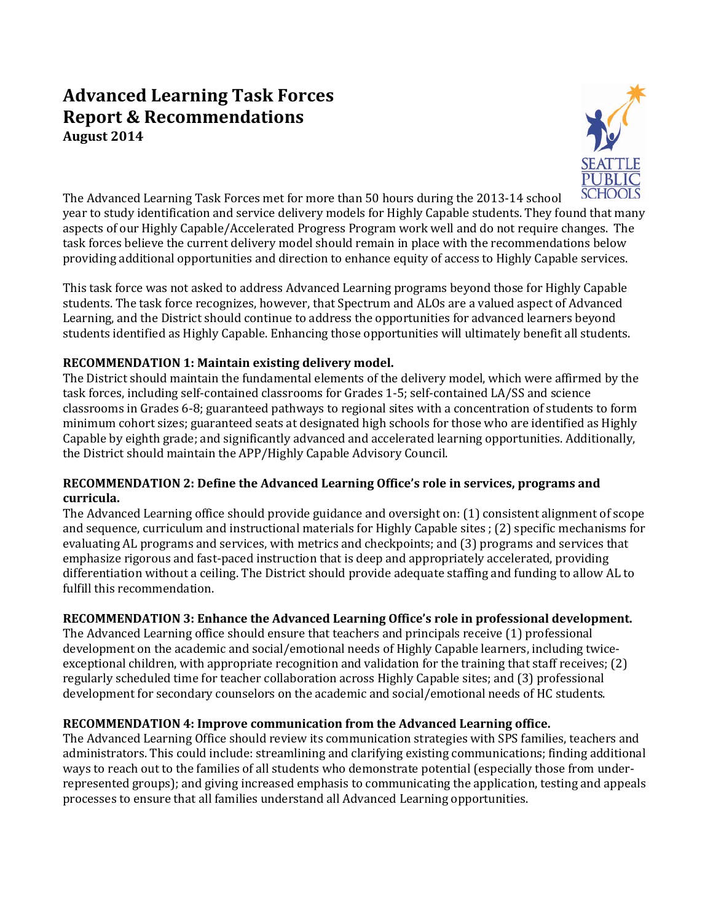# **Advanced Learning Task Forces Report & Recommendations August 2014**



The Advanced Learning Task Forces met for more than 50 hours during the 2013-14 school year to study identification and service delivery models for Highly Capable students. They found that many aspects of our Highly Capable/Accelerated Progress Program work well and do not require changes. The task forces believe the current delivery model should remain in place with the recommendations below providing additional opportunities and direction to enhance equity of access to Highly Capable services.

This task force was not asked to address Advanced Learning programs beyond those for Highly Capable students. The task force recognizes, however, that Spectrum and ALOs are a valued aspect of Advanced Learning, and the District should continue to address the opportunities for advanced learners beyond students identified as Highly Capable. Enhancing those opportunities will ultimately benefit all students.

### **RECOMMENDATION 1: Maintain existing delivery model.**

The District should maintain the fundamental elements of the delivery model, which were affirmed by the task forces, including self-contained classrooms for Grades 1-5; self-contained LA/SS and science classrooms in Grades 6-8; guaranteed pathways to regional sites with a concentration of students to form minimum cohort sizes; guaranteed seats at designated high schools for those who are identified as Highly Capable by eighth grade; and significantly advanced and accelerated learning opportunities. Additionally, the District should maintain the APP/Highly Capable Advisory Council.

# **RECOMMENDATION 2: Define the Advanced Learning Office's role in services, programs and curricula.**

The Advanced Learning office should provide guidance and oversight on: (1) consistent alignment of scope and sequence, curriculum and instructional materials for Highly Capable sites ; (2) specific mechanisms for evaluating AL programs and services, with metrics and checkpoints; and (3) programs and services that emphasize rigorous and fast-paced instruction that is deep and appropriately accelerated, providing differentiation without a ceiling. The District should provide adequate staffing and funding to allow AL to fulfill this recommendation.

# **RECOMMENDATION 3: Enhance the Advanced Learning Office's role in professional development.**

The Advanced Learning office should ensure that teachers and principals receive (1) professional development on the academic and social/emotional needs of Highly Capable learners, including twiceexceptional children, with appropriate recognition and validation for the training that staff receives; (2) regularly scheduled time for teacher collaboration across Highly Capable sites; and (3) professional development for secondary counselors on the academic and social/emotional needs of HC students.

# **RECOMMENDATION 4: Improve communication from the Advanced Learning office.**

The Advanced Learning Office should review its communication strategies with SPS families, teachers and administrators. This could include: streamlining and clarifying existing communications; finding additional ways to reach out to the families of all students who demonstrate potential (especially those from underrepresented groups); and giving increased emphasis to communicating the application, testing and appeals processes to ensure that all families understand all Advanced Learning opportunities.